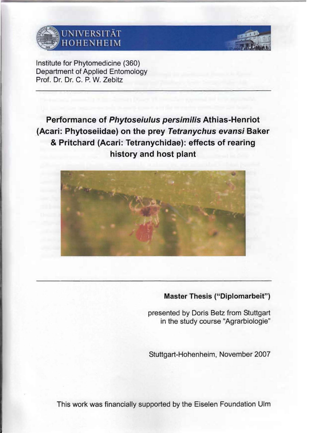

## UNIVERSITÄT HOHENHEIM



'Institute for Phytomedicine (360) Department of Applied Entomology Prof. Dr. Dr. C. P. W. Zebitz

**Performance of Phytoseiulus persimilis Athias-Henriot (Acari: Phytoseiidae) on the prey Tetranychus evansi Baker & Pritchard (Acari: Tetranychidae): effects of rearing history and host plant** 



## **Master Thesis ("Diplomarbeit")**

presented by Doris Betz from Stuttgart in the study course "Agrarbiologie"

Stuttgart-Hohenheim, November 2007

This work was financially supported by the Eiselen Foundation Ulm